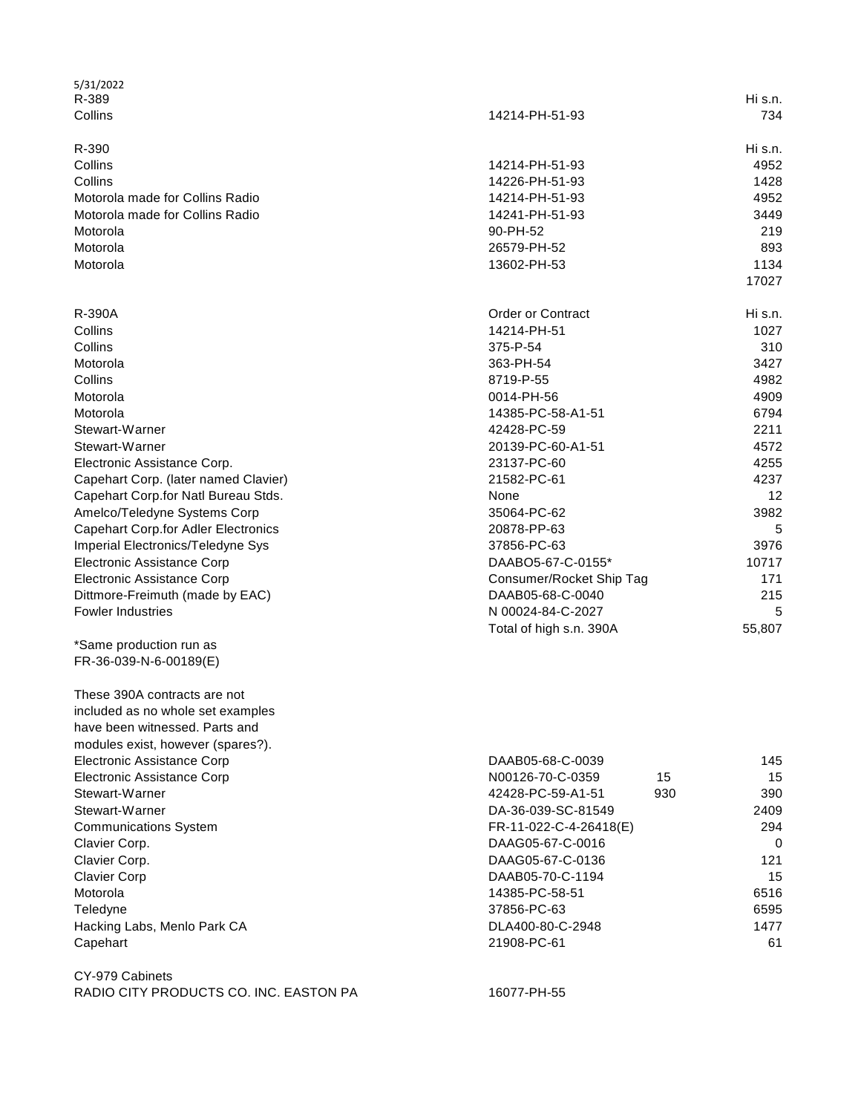| 5/31/2022                                  |                          |         |
|--------------------------------------------|--------------------------|---------|
| R-389                                      |                          | Hi s.n. |
| Collins                                    | 14214-PH-51-93           | 734     |
| R-390                                      |                          | Hi s.n. |
| Collins                                    | 14214-PH-51-93           |         |
|                                            |                          | 4952    |
| Collins                                    | 14226-PH-51-93           | 1428    |
| Motorola made for Collins Radio            | 14214-PH-51-93           | 4952    |
| Motorola made for Collins Radio            | 14241-PH-51-93           | 3449    |
| Motorola                                   | 90-PH-52                 | 219     |
| Motorola                                   | 26579-PH-52              | 893     |
| Motorola                                   | 13602-PH-53              | 1134    |
|                                            |                          | 17027   |
| R-390A                                     | <b>Order or Contract</b> | Hi s.n. |
| Collins                                    | 14214-PH-51              | 1027    |
| Collins                                    | 375-P-54                 | 310     |
| Motorola                                   | 363-PH-54                | 3427    |
| Collins                                    | 8719-P-55                | 4982    |
| Motorola                                   | 0014-PH-56               | 4909    |
| Motorola                                   | 14385-PC-58-A1-51        | 6794    |
| Stewart-Warner                             | 42428-PC-59              | 2211    |
| Stewart-Warner                             | 20139-PC-60-A1-51        | 4572    |
| Electronic Assistance Corp.                | 23137-PC-60              | 4255    |
|                                            | 21582-PC-61              | 4237    |
| Capehart Corp. (later named Clavier)       |                          |         |
| Capehart Corp.for Natl Bureau Stds.        | None                     | 12      |
| Amelco/Teledyne Systems Corp               | 35064-PC-62              | 3982    |
| <b>Capehart Corp.for Adler Electronics</b> | 20878-PP-63              | 5       |
| Imperial Electronics/Teledyne Sys          | 37856-PC-63              | 3976    |
| <b>Electronic Assistance Corp</b>          | DAABO5-67-C-0155*        | 10717   |
| <b>Electronic Assistance Corp</b>          | Consumer/Rocket Ship Tag | 171     |
| Dittmore-Freimuth (made by EAC)            | DAAB05-68-C-0040         | 215     |
| <b>Fowler Industries</b>                   | N 00024-84-C-2027        | 5       |
|                                            | Total of high s.n. 390A  | 55,807  |
| *Same production run as                    |                          |         |
| FR-36-039-N-6-00189(E)                     |                          |         |
| These 390A contracts are not               |                          |         |
| included as no whole set examples          |                          |         |
| have been witnessed. Parts and             |                          |         |
| modules exist, however (spares?).          |                          |         |
| Electronic Assistance Corp                 | DAAB05-68-C-0039         | 145     |
| Electronic Assistance Corp                 | N00126-70-C-0359<br>15   | 15      |
| Stewart-Warner                             | 42428-PC-59-A1-51<br>930 | 390     |
| Stewart-Warner                             | DA-36-039-SC-81549       | 2409    |
| <b>Communications System</b>               | FR-11-022-C-4-26418(E)   | 294     |
| Clavier Corp.                              | DAAG05-67-C-0016         | 0       |
| Clavier Corp.                              | DAAG05-67-C-0136         | 121     |
| <b>Clavier Corp</b>                        | DAAB05-70-C-1194         | 15      |
| Motorola                                   | 14385-PC-58-51           | 6516    |
| Teledyne                                   | 37856-PC-63              | 6595    |
| Hacking Labs, Menlo Park CA                | DLA400-80-C-2948         | 1477    |
| Capehart                                   | 21908-PC-61              | 61      |
|                                            |                          |         |
| CY-979 Cabinets                            |                          |         |
| RADIO CITY PRODUCTS CO. INC. EASTON PA     | 16077-PH-55              |         |